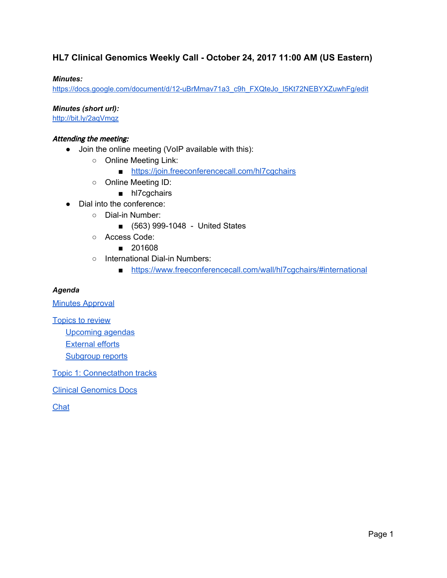#### **HL7 Clinical Genomics Weekly Call - October 24, 2017 11:00 AM (US Eastern)**

#### *Minutes:*

[https://docs.google.com/document/d/12-uBrMmav71a3\\_c9h\\_FXQteJo\\_I5Kt72NEBYXZuwhFg/edit](https://docs.google.com/document/d/12-uBrMmav71a3_c9h_FXQteJo_I5Kt72NEBYXZuwhFg/edit)

*Minutes (short url):*

<http://bit.ly/2aqVmqz>

#### Attending the meeting:

- Join the online meeting (VoIP available with this):
	- Online Meeting Link:
		- <https://join.freeconferencecall.com/hl7cgchairs>
	- Online Meeting ID:
		- hl7cgchairs
- Dial into the conference:
	- Dial-in Number:
		- (563) 999-1048 United States
	- Access Code:
		- 201608
	- International Dial-in Numbers:
		- <https://www.freeconferencecall.com/wall/hl7cgchairs/#international>

#### *Agenda*

**Minutes [Approval](#page-1-0)** 

[Topics](#page-2-0) to review

[Upcoming](#page-2-1) agendas

[External](#page-3-0) efforts

[Subgroup](#page-4-0) reports

Topic 1: Connectathon tracks

Clinical [Genomics](#page-5-0) Docs

**Chat**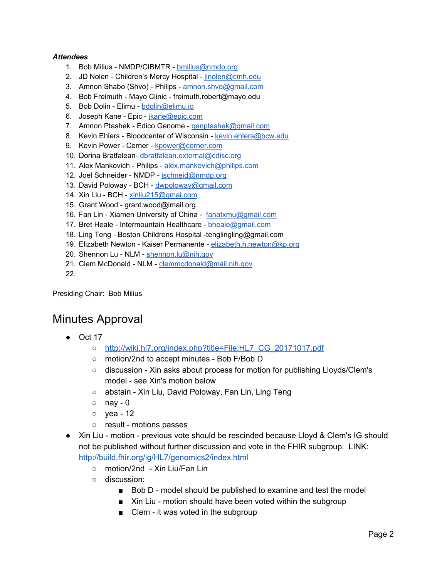#### *Attendees*

- 1. Bob Milius NMDP/CIBMTR [bmilius@nmdp.org](mailto:bmilius@nmdp.org)
- 2. JD Nolen Children's Mercy Hospital [jlnolen@cmh.edu](mailto:jlnolen@cmh.edu)
- 3. Amnon Shabo (Shvo) Philips [amnon.shvo@gmail.com](mailto:amnon.shvo@gmail.com)
- 4. Bob Freimuth Mayo Clinic freimuth.robert@mayo.edu
- 5. Bob Dolin Elimu [bdolin@elimu.io](mailto:bdolin@elimu.io)
- 6. Joseph Kane Epic *[jkane@epic.com](mailto:jkane@epic.com)*
- 7. Amnon Ptashek Edico Genome [genptashek@gmail.com](mailto:genptashek@gmail.com)
- 8. Kevin Ehlers Bloodcenter of Wisconsin [kevin.ehlers@bcw.edu](mailto:kevin.ehlers@bcw.edu)
- 9. Kevin Power Cerner [kpower@cerner.com](mailto:kpower@cerner.com)
- 10. Dorina Bratfalean- [dbratfalean.external@cdisc.org](mailto:dbratfalean.external@cdisc.org)
- 11. Alex Mankovich Philips [alex.mankovich@philips.com](mailto:alex.mankovich@philips.com)
- 12. Joel Schneider NMDP [jschneid@nmdp.org](mailto:jschneid@nmdp.org)
- 13. David Poloway BCH [dwpoloway@gmail.com](mailto:dwpoloway@gmail.com)
- 14. Xin Liu BCH [xinliu215@gmai.com](mailto:xinliu215@gmai.com)
- 15. Grant Wood grant.wood@imail.org
- 16. Fan Lin Xiamen University of China [fanatxmu@gmail.com](mailto:fanatxmu@gmail.com)
- 17. Bret Heale Intermountain Healthcare [bheale@gmail.com](mailto:bheale@gmail.com)
- 18. Ling Teng Boston Childrens Hospital -tenglingling@gmail.com
- 19. Elizabeth Newton Kaiser Permanente [elizabeth.h.newton@kp.org](mailto:elizabeth.h.newton@kp.org)
- 20. Shennon Lu NLM [shennon.lu@nih.gov](mailto:shennon.lu@nih.gov)
- 21. Clem McDonald NLM [clemmcdonald@mail.nih.gov](mailto:clemmcdonald@mail.nih.gov)

22.

<span id="page-1-0"></span>Presiding Chair: Bob Milius

## Minutes Approval

- Oct 17
	- [http://wiki.hl7.org/index.php?title=File:HL7\\_CG\\_20171017.pdf](http://wiki.hl7.org/index.php?title=File:HL7_CG_20171017.pdf)
	- motion/2nd to accept minutes Bob F/Bob D
	- discussion Xin asks about process for motion for publishing Lloyds/Clem's model - see Xin's motion below
	- abstain Xin Liu, David Poloway, Fan Lin, Ling Teng
	- $\circ$  nay 0
	- yea 12
	- result motions passes
- Xin Liu motion previous vote should be rescinded because Lloyd & Clem's IG should not be published without further discussion and vote in the FHIR subgroup. LINK: <http://build.fhir.org/ig/HL7/genomics2/index.html>
	- motion/2nd Xin Liu/Fan Lin
	- discussion:
		- Bob D model should be published to examine and test the model
		- Xin Liu motion should have been voted within the subgroup
		- Clem it was voted in the subgroup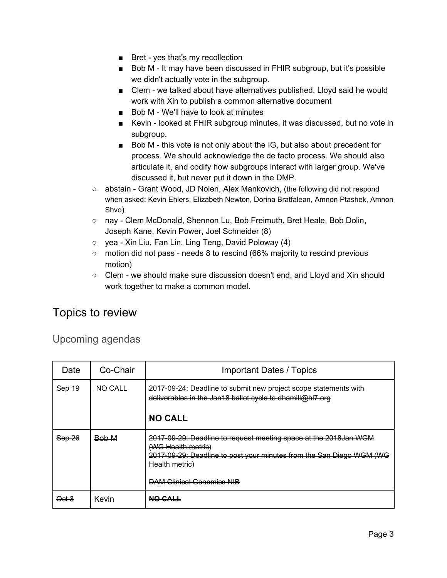- Bret yes that's my recollection
- Bob M It may have been discussed in FHIR subgroup, but it's possible we didn't actually vote in the subgroup.
- Clem we talked about have alternatives published, Lloyd said he would work with Xin to publish a common alternative document
- Bob M We'll have to look at minutes
- Kevin looked at FHIR subgroup minutes, it was discussed, but no vote in subgroup.
- Bob M this vote is not only about the IG, but also about precedent for process. We should acknowledge the de facto process. We should also articulate it, and codify how subgroups interact with larger group. We've discussed it, but never put it down in the DMP.
- abstain Grant Wood, JD Nolen, Alex Mankovich, (the following did not respond when asked: Kevin Ehlers, Elizabeth Newton, Dorina Bratfalean, Amnon Ptashek, Amnon Shvo)
- nay Clem McDonald, Shennon Lu, Bob Freimuth, Bret Heale, Bob Dolin, Joseph Kane, Kevin Power, Joel Schneider (8)
- yea Xin Liu, Fan Lin, Ling Teng, David Poloway (4)
- $\circ$  motion did not pass needs 8 to rescind (66% majority to rescind previous motion)
- Clem we should make sure discussion doesn't end, and Lloyd and Xin should work together to make a common model.

# <span id="page-2-0"></span>Topics to review

### <span id="page-2-1"></span>Upcoming agendas

| Date   | Co-Chair       | <b>Important Dates / Topics</b>                                                                                                                                                                                      |
|--------|----------------|----------------------------------------------------------------------------------------------------------------------------------------------------------------------------------------------------------------------|
| Sep 19 | <b>NO CALL</b> | 2017-09-24: Deadline to submit new project scope statements with<br>deliverables in the Jan18 ballot cycle to dhamill@hl7.org                                                                                        |
|        |                | NO CALL                                                                                                                                                                                                              |
|        | <b>Bob M</b>   | 2017-09-29: Deadline to request meeting space at the 2018Jan WGM<br>(WG Health metric)<br>2017-09-29: Deadline to post your minutes from the San Diego WGM (WG<br>Health metric)<br><b>DAM Clinical Genomics NIB</b> |
| ⊖et⊖   | <u>Kevin</u>   | NO CALL                                                                                                                                                                                                              |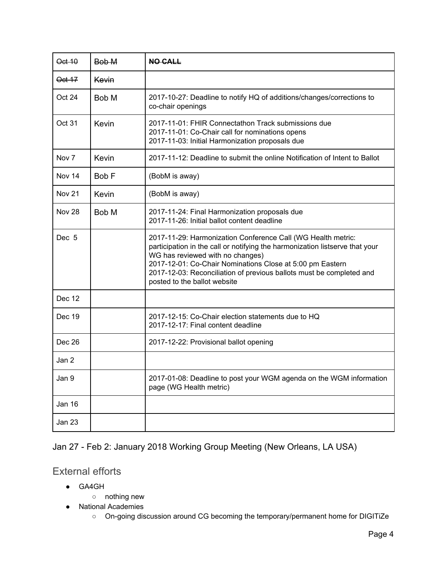| Oct 10           | Bob M            | <b>NO CALL</b>                                                                                                                                                                                                                                                                                                                                        |
|------------------|------------------|-------------------------------------------------------------------------------------------------------------------------------------------------------------------------------------------------------------------------------------------------------------------------------------------------------------------------------------------------------|
| Oct 17           | Kevin            |                                                                                                                                                                                                                                                                                                                                                       |
| Oct 24           | Bob M            | 2017-10-27: Deadline to notify HQ of additions/changes/corrections to<br>co-chair openings                                                                                                                                                                                                                                                            |
| Oct 31           | Kevin            | 2017-11-01: FHIR Connectathon Track submissions due<br>2017-11-01: Co-Chair call for nominations opens<br>2017-11-03: Initial Harmonization proposals due                                                                                                                                                                                             |
| Nov 7            | Kevin            | 2017-11-12: Deadline to submit the online Notification of Intent to Ballot                                                                                                                                                                                                                                                                            |
| <b>Nov 14</b>    | Bob <sub>F</sub> | (BobM is away)                                                                                                                                                                                                                                                                                                                                        |
| <b>Nov 21</b>    | Kevin            | (BobM is away)                                                                                                                                                                                                                                                                                                                                        |
| <b>Nov 28</b>    | Bob M            | 2017-11-24: Final Harmonization proposals due<br>2017-11-26: Initial ballot content deadline                                                                                                                                                                                                                                                          |
| Dec <sub>5</sub> |                  | 2017-11-29: Harmonization Conference Call (WG Health metric:<br>participation in the call or notifying the harmonization listserve that your<br>WG has reviewed with no changes)<br>2017-12-01: Co-Chair Nominations Close at 5:00 pm Eastern<br>2017-12-03: Reconciliation of previous ballots must be completed and<br>posted to the ballot website |
| Dec 12           |                  |                                                                                                                                                                                                                                                                                                                                                       |
| Dec 19           |                  | 2017-12-15: Co-Chair election statements due to HQ<br>2017-12-17: Final content deadline                                                                                                                                                                                                                                                              |
| Dec 26           |                  | 2017-12-22: Provisional ballot opening                                                                                                                                                                                                                                                                                                                |
| Jan 2            |                  |                                                                                                                                                                                                                                                                                                                                                       |
| Jan 9            |                  | 2017-01-08: Deadline to post your WGM agenda on the WGM information<br>page (WG Health metric)                                                                                                                                                                                                                                                        |
| <b>Jan 16</b>    |                  |                                                                                                                                                                                                                                                                                                                                                       |
| <b>Jan 23</b>    |                  |                                                                                                                                                                                                                                                                                                                                                       |

### Jan 27 - Feb 2: January 2018 Working Group Meeting (New Orleans, LA USA)

### <span id="page-3-0"></span>External efforts

- GA4GH
	- nothing new
- National Academies
	- On-going discussion around CG becoming the temporary/permanent home for DIGITiZe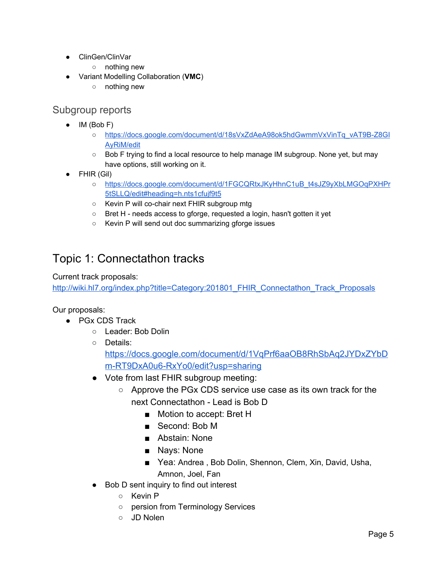- ClinGen/ClinVar
	- o nothing new
- Variant Modelling Collaboration (**VMC**)
	- nothing new

### <span id="page-4-0"></span>Subgroup reports

- IM (Bob F)
	- [https://docs.google.com/document/d/18sVxZdAeA98ok5hdGwmmVxVinTq\\_vAT9B-Z8GI](https://docs.google.com/document/d/18sVxZdAeA98ok5hdGwmmVxVinTq_vAT9B-Z8GIAyRiM/edit) [AyRiM/edit](https://docs.google.com/document/d/18sVxZdAeA98ok5hdGwmmVxVinTq_vAT9B-Z8GIAyRiM/edit)
	- Bob F trying to find a local resource to help manage IM subgroup. None yet, but may have options, still working on it.
- FHIR (Gil)
	- [https://docs.google.com/document/d/1FGCQRtxJKyHhnC1uB\\_t4sJZ9yXbLMGOqPXHPr](https://docs.google.com/document/d/1FGCQRtxJKyHhnC1uB_t4sJZ9yXbLMGOqPXHPr5tSLLQ/edit#heading=h.nts1cfujf9t5) [5tSLLQ/edit#heading=h.nts1cfujf9t5](https://docs.google.com/document/d/1FGCQRtxJKyHhnC1uB_t4sJZ9yXbLMGOqPXHPr5tSLLQ/edit#heading=h.nts1cfujf9t5)
	- Kevin P will co-chair next FHIR subgroup mtg
	- Bret H needs access to gforge, requested a login, hasn't gotten it yet
	- Kevin P will send out doc summarizing gforge issues

# Topic 1: Connectathon tracks

Current track proposals:

[http://wiki.hl7.org/index.php?title=Category:201801\\_FHIR\\_Connectathon\\_Track\\_Proposals](http://wiki.hl7.org/index.php?title=Category:201801_FHIR_Connectathon_Track_Proposals)

Our proposals:

- PGx CDS Track
	- Leader: Bob Dolin
	- Details: [https://docs.google.com/document/d/1VqPrf6aaOB8RhSbAq2JYDxZYbD](https://docs.google.com/document/d/1VqPrf6aaOB8RhSbAq2JYDxZYbDm-RT9DxA0u6-RxYo0/edit?usp=sharing) [m-RT9DxA0u6-RxYo0/edit?usp=sharing](https://docs.google.com/document/d/1VqPrf6aaOB8RhSbAq2JYDxZYbDm-RT9DxA0u6-RxYo0/edit?usp=sharing)
	- Vote from last FHIR subgroup meeting:
		- Approve the PGx CDS service use case as its own track for the next Connectathon - Lead is Bob D
			- Motion to accept: Bret H
			- Second: Bob M
			- Abstain: None
			- Nays: None
			- Yea: Andrea, Bob Dolin, Shennon, Clem, Xin, David, Usha, Amnon, Joel, Fan
	- Bob D sent inquiry to find out interest
		- Kevin P
		- persion from Terminology Services
		- JD Nolen